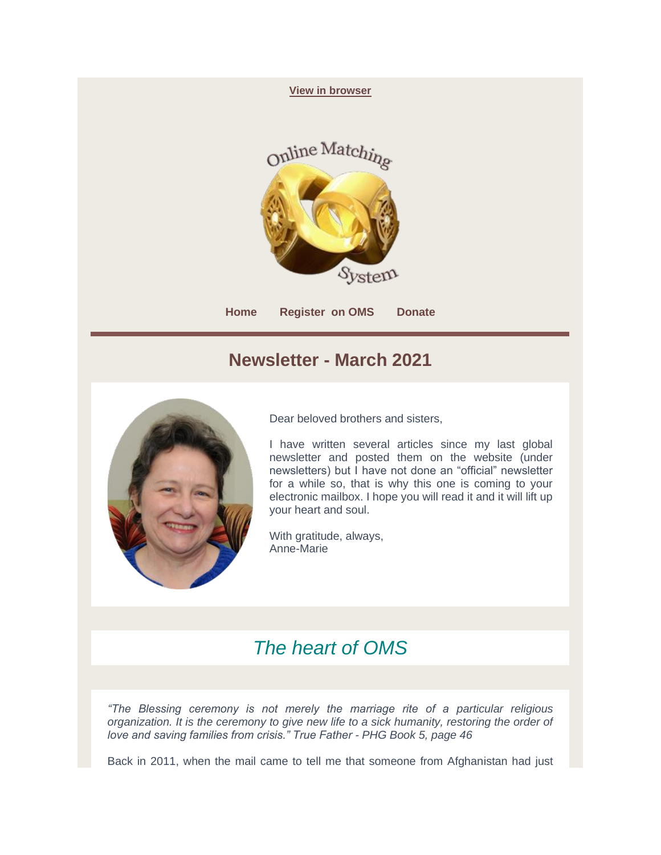

## **Newsletter - March 2021**



Dear beloved brothers and sisters,

I have written several articles since my last global newsletter and posted them on the website (under newsletters) but I have not done an "official" newsletter for a while so, that is why this one is coming to your electronic mailbox. I hope you will read it and it will lift up your heart and soul.

With gratitude, always, Anne-Marie

## *The heart of OMS*

*"The Blessing ceremony is not merely the marriage rite of a particular religious organization. It is the ceremony to give new life to a sick humanity, restoring the order of love and saving families from crisis." True Father - PHG Book 5, page 46*

Back in 2011, when the mail came to tell me that someone from Afghanistan had just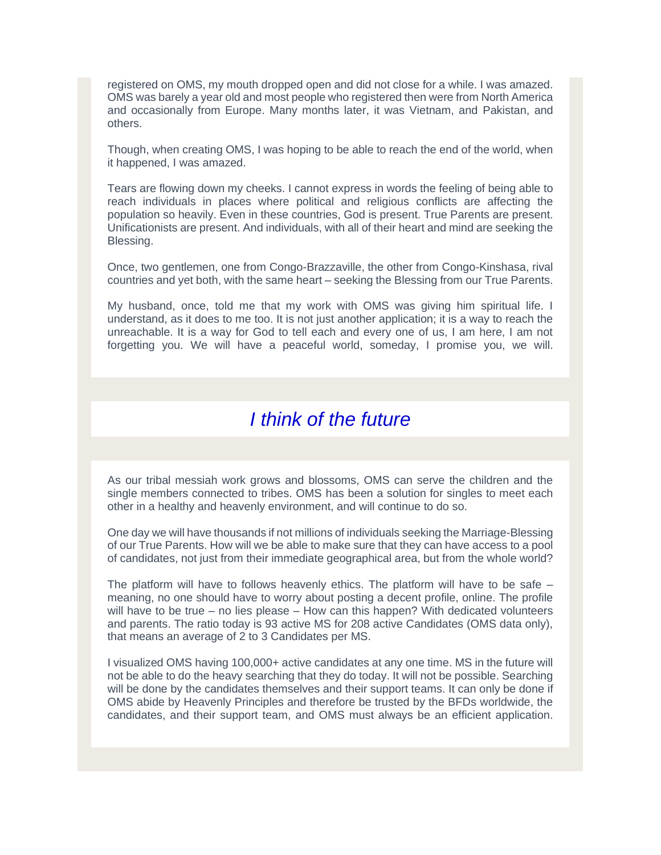registered on OMS, my mouth dropped open and did not close for a while. I was amazed. OMS was barely a year old and most people who registered then were from North America and occasionally from Europe. Many months later, it was Vietnam, and Pakistan, and others.

Though, when creating OMS, I was hoping to be able to reach the end of the world, when it happened, I was amazed.

Tears are flowing down my cheeks. I cannot express in words the feeling of being able to reach individuals in places where political and religious conflicts are affecting the population so heavily. Even in these countries, God is present. True Parents are present. Unificationists are present. And individuals, with all of their heart and mind are seeking the Blessing.

Once, two gentlemen, one from Congo-Brazzaville, the other from Congo-Kinshasa, rival countries and yet both, with the same heart – seeking the Blessing from our True Parents.

My husband, once, told me that my work with OMS was giving him spiritual life. I understand, as it does to me too. It is not just another application; it is a way to reach the unreachable. It is a way for God to tell each and every one of us, I am here, I am not forgetting you. We will have a peaceful world, someday, I promise you, we will.

## *I think of the future*

As our tribal messiah work grows and blossoms, OMS can serve the children and the single members connected to tribes. OMS has been a solution for singles to meet each other in a healthy and heavenly environment, and will continue to do so.

One day we will have thousands if not millions of individuals seeking the Marriage-Blessing of our True Parents. How will we be able to make sure that they can have access to a pool of candidates, not just from their immediate geographical area, but from the whole world?

The platform will have to follows heavenly ethics. The platform will have to be safe  $$ meaning, no one should have to worry about posting a decent profile, online. The profile will have to be true – no lies please – How can this happen? With dedicated volunteers and parents. The ratio today is 93 active MS for 208 active Candidates (OMS data only), that means an average of 2 to 3 Candidates per MS.

I visualized OMS having 100,000+ active candidates at any one time. MS in the future will not be able to do the heavy searching that they do today. It will not be possible. Searching will be done by the candidates themselves and their support teams. It can only be done if OMS abide by Heavenly Principles and therefore be trusted by the BFDs worldwide, the candidates, and their support team, and OMS must always be an efficient application.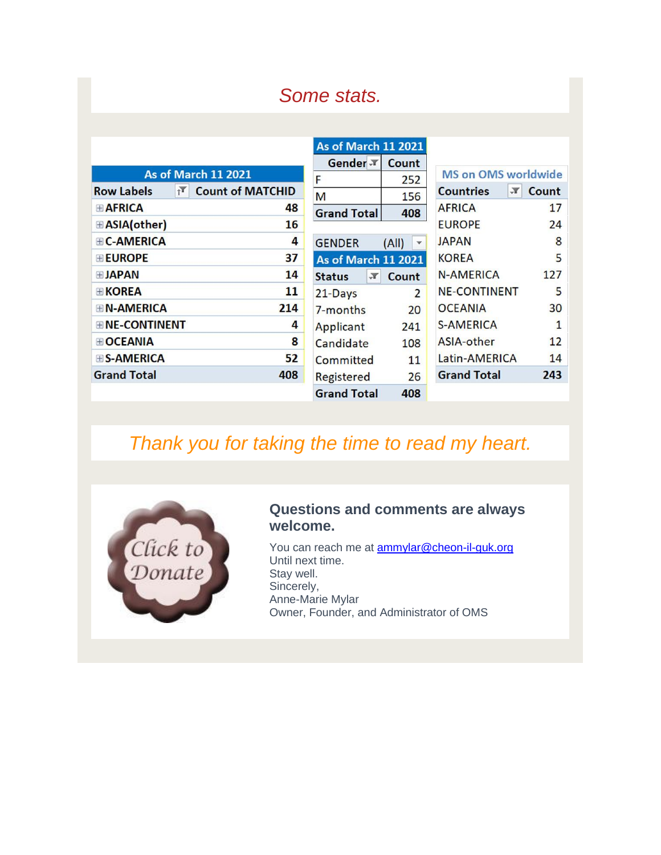# *Some stats.*

| <b>As of March 11 2021</b>               |                         |  |  |
|------------------------------------------|-------------------------|--|--|
| <b>Row Labels</b><br>$\mathbf{r}$        | <b>Count of MATCHID</b> |  |  |
| $\blacksquare$ AFRICA                    | 48                      |  |  |
| <b>EASIA(other)</b>                      | 16                      |  |  |
| $\textcolor{blue}{\textbf{H}}$ C-AMERICA | 4                       |  |  |
| <b>EUROPE</b>                            | 37                      |  |  |
| $\blacksquare$ JAPAN                     | 14                      |  |  |
| <b>EKOREA</b>                            | 11                      |  |  |
| $\boxplus$ N-AMERICA                     | 214                     |  |  |
| <b>ENE-CONTINENT</b>                     | 4                       |  |  |
| <b>E</b> OCEANIA                         | 8                       |  |  |
| <b>ES-AMERICA</b>                        | 52                      |  |  |
| <b>Grand Total</b>                       | 408                     |  |  |

| As of March 11 2021           |       |                                  |              |
|-------------------------------|-------|----------------------------------|--------------|
| Gender $\bar{r}$              | Count |                                  |              |
| F                             | 252   | <b>MS on OMS worldwide</b>       |              |
| M                             | 156   | <b>Countries</b><br>$\mathbf{r}$ | Count        |
| <b>Grand Total</b>            | 408   | <b>AFRICA</b>                    | 17           |
|                               |       | <b>EUROPE</b>                    | 24           |
| <b>GENDER</b>                 | (A  ) | <b>JAPAN</b>                     | 8            |
| <b>As of March 11 2021</b>    |       | <b>KOREA</b>                     | 5            |
| $\mathbb{F}$<br><b>Status</b> | Count | <b>N-AMERICA</b>                 | 127          |
| 21-Days                       | 2     | <b>NE-CONTINENT</b>              | 5            |
| 7-months                      | 20    | <b>OCEANIA</b>                   | 30           |
| Applicant                     | 241   | <b>S-AMERICA</b>                 | $\mathbf{1}$ |
| Candidate                     | 108   | ASIA-other                       | 12           |
| <b>Committed</b>              | 11    | Latin-AMERICA                    | 14           |
| Registered                    | 26    | <b>Grand Total</b>               | 243          |
| <b>Grand Total</b>            | 408   |                                  |              |

# *Thank you for taking the time to read my heart.*



#### **Questions and comments are always welcome.**

You can reach me at **ammylar@cheon-il-guk.org** Until next time. Stay well. Sincerely, Anne-Marie Mylar Owner, Founder, and Administrator of OMS